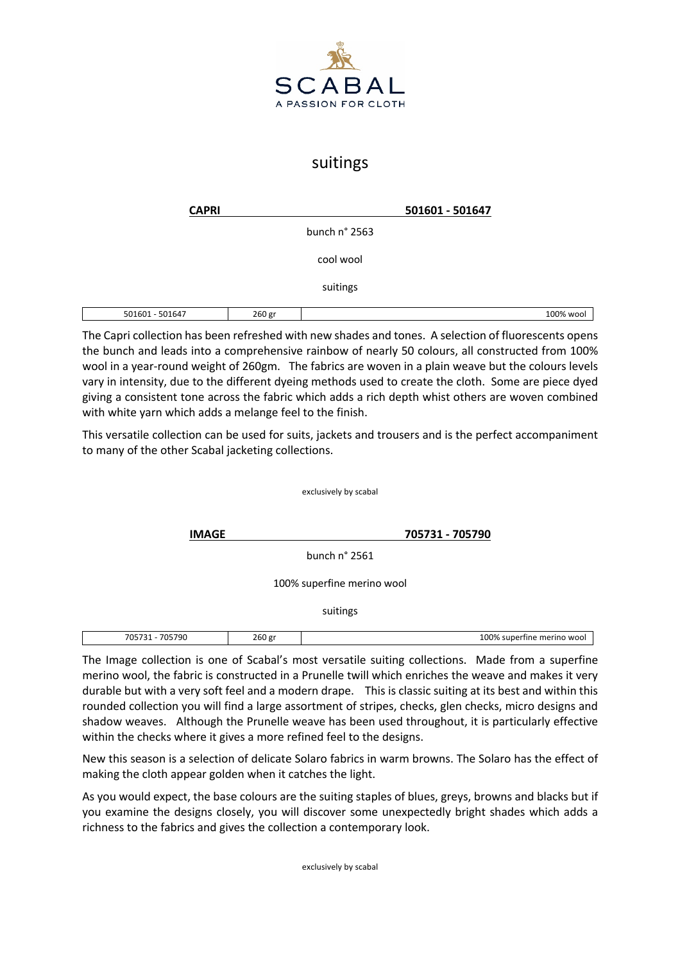

## suitings

| <b>CAPRI</b>    |        |               | 501601 - 501647 |           |
|-----------------|--------|---------------|-----------------|-----------|
|                 |        | bunch n° 2563 |                 |           |
|                 |        | cool wool     |                 |           |
|                 |        | suitings      |                 |           |
| 501601 - 501647 | 260 gr |               |                 | 100% wool |

The Capri collection has been refreshed with new shades and tones. A selection of fluorescents opens the bunch and leads into a comprehensive rainbow of nearly 50 colours, all constructed from 100% wool in a year-round weight of 260gm. The fabrics are woven in a plain weave but the colours levels vary in intensity, due to the different dyeing methods used to create the cloth. Some are piece dyed giving a consistent tone across the fabric which adds a rich depth whist others are woven combined with white yarn which adds a melange feel to the finish.

This versatile collection can be used for suits, jackets and trousers and is the perfect accompaniment to many of the other Scabal jacketing collections.

exclusively by scabal

**IMAGE 705731 - 705790**

bunch n° 2561

100% superfine merino wool

suitings

| 70572<br>705790<br>. | $\sim$ $\sim$<br>260 er | ' ባበ%<br>. <b>. .</b><br>morin<br>ner:<br><b>WOO</b><br>super<br>Tine. |
|----------------------|-------------------------|------------------------------------------------------------------------|
|                      |                         |                                                                        |

The Image collection is one of Scabal's most versatile suiting collections. Made from a superfine merino wool, the fabric is constructed in a Prunelle twill which enriches the weave and makes it very durable but with a very soft feel and a modern drape. This is classic suiting at its best and within this rounded collection you will find a large assortment of stripes, checks, glen checks, micro designs and shadow weaves. Although the Prunelle weave has been used throughout, it is particularly effective within the checks where it gives a more refined feel to the designs.

New this season is a selection of delicate Solaro fabrics in warm browns. The Solaro has the effect of making the cloth appear golden when it catches the light.

As you would expect, the base colours are the suiting staples of blues, greys, browns and blacks but if you examine the designs closely, you will discover some unexpectedly bright shades which adds a richness to the fabrics and gives the collection a contemporary look.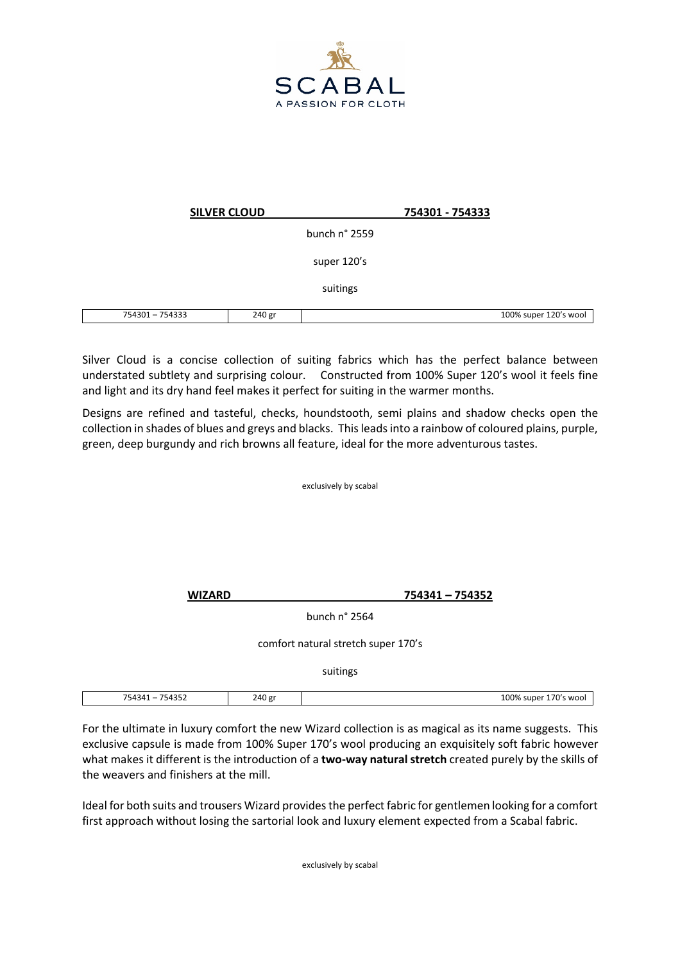

|                 | <b>SILVER CLOUD</b> |               | 754301 - 754333 |                       |
|-----------------|---------------------|---------------|-----------------|-----------------------|
|                 |                     | bunch n° 2559 |                 |                       |
|                 |                     | super 120's   |                 |                       |
|                 |                     | suitings      |                 |                       |
| 754301 - 754333 | 240 gr              |               |                 | 100% super 120's wool |

Silver Cloud is a concise collection of suiting fabrics which has the perfect balance between understated subtlety and surprising colour. Constructed from 100% Super 120's wool it feels fine and light and its dry hand feel makes it perfect for suiting in the warmer months.

Designs are refined and tasteful, checks, houndstooth, semi plains and shadow checks open the collection in shades of blues and greys and blacks. This leads into a rainbow of coloured plains, purple, green, deep burgundy and rich browns all feature, ideal for the more adventurous tastes.

exclusively by scabal

**WIZARD 754341 – 754352**

bunch n° 2564

comfort natural stretch super 170's

suitings

| 75.42.44<br>--<br>5434<br>י ≻ ⊥∩<br>ーココム<br>– . <i>. .</i> | 240 gr | $00\%$<br>70′<br>super<br>wool |
|------------------------------------------------------------|--------|--------------------------------|
|                                                            |        |                                |

For the ultimate in luxury comfort the new Wizard collection is as magical as its name suggests. This exclusive capsule is made from 100% Super 170's wool producing an exquisitely soft fabric however what makes it different is the introduction of a **two-way natural stretch** created purely by the skills of the weavers and finishers at the mill.

Ideal for both suits and trousers Wizard provides the perfect fabric for gentlemen looking for a comfort first approach without losing the sartorial look and luxury element expected from a Scabal fabric.

exclusively by scabal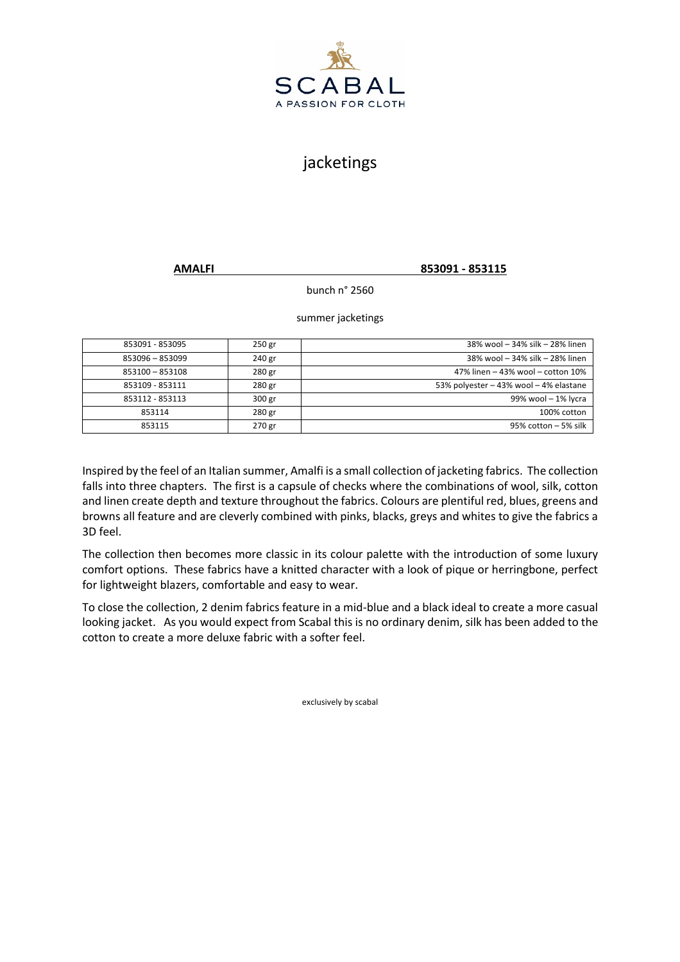

## jacketings

**AMALFI 853091 - 853115**

bunch n° 2560

summer jacketings

| 853091 - 853095 | 250 gr | 38% wool - 34% silk - 28% linen        |
|-----------------|--------|----------------------------------------|
| 853096 - 853099 | 240 gr | 38% wool - 34% silk - 28% linen        |
| 853100 - 853108 | 280 gr | 47% linen - 43% wool - cotton 10%      |
| 853109 - 853111 | 280 gr | 53% polyester - 43% wool - 4% elastane |
| 853112 - 853113 | 300 gr | 99% wool - 1% lycra                    |
| 853114          | 280 gr | 100% cotton                            |
| 853115          | 270 gr | $95\%$ cotton $-5\%$ silk              |

Inspired by the feel of an Italian summer, Amalfi is a small collection of jacketing fabrics. The collection falls into three chapters. The first is a capsule of checks where the combinations of wool, silk, cotton and linen create depth and texture throughout the fabrics. Colours are plentiful red, blues, greens and browns all feature and are cleverly combined with pinks, blacks, greys and whites to give the fabrics a 3D feel.

The collection then becomes more classic in its colour palette with the introduction of some luxury comfort options. These fabrics have a knitted character with a look of pique or herringbone, perfect for lightweight blazers, comfortable and easy to wear.

To close the collection, 2 denim fabrics feature in a mid-blue and a black ideal to create a more casual looking jacket. As you would expect from Scabal this is no ordinary denim, silk has been added to the cotton to create a more deluxe fabric with a softer feel.

exclusively by scabal